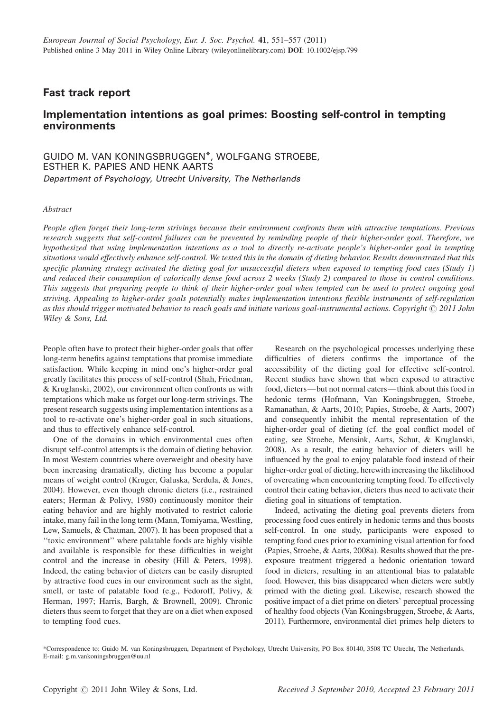## Fast track report

# Implementation intentions as goal primes: Boosting self-control in tempting environments

GUIDO M. VAN KONINGSBRUGGEN\*, WOLFGANG STROEBE, ESTHER K. PAPIES AND HENK AARTS Department of Psychology, Utrecht University, The Netherlands

## Abstract

People often forget their long-term strivings because their environment confronts them with attractive temptations. Previous research suggests that self-control failures can be prevented by reminding people of their higher-order goal. Therefore, we hypothesized that using implementation intentions as a tool to directly re-activate people's higher-order goal in tempting situations would effectively enhance self-control. We tested this in the domain of dieting behavior. Results demonstrated that this specific planning strategy activated the dieting goal for unsuccessful dieters when exposed to tempting food cues (Study 1) and reduced their consumption of calorically dense food across 2 weeks (Study 2) compared to those in control conditions. This suggests that preparing people to think of their higher-order goal when tempted can be used to protect ongoing goal striving. Appealing to higher-order goals potentially makes implementation intentions flexible instruments of self-regulation as this should trigger motivated behavior to reach goals and initiate various goal-instrumental actions. Copyright  $\odot$  2011 John Wiley & Sons, Ltd.

People often have to protect their higher-order goals that offer long-term benefits against temptations that promise immediate satisfaction. While keeping in mind one's higher-order goal greatly facilitates this process of self-control (Shah, Friedman, & Kruglanski, 2002), our environment often confronts us with temptations which make us forget our long-term strivings. The present research suggests using implementation intentions as a tool to re-activate one's higher-order goal in such situations, and thus to effectively enhance self-control.

One of the domains in which environmental cues often disrupt self-control attempts is the domain of dieting behavior. In most Western countries where overweight and obesity have been increasing dramatically, dieting has become a popular means of weight control (Kruger, Galuska, Serdula, & Jones, 2004). However, even though chronic dieters (i.e., restrained eaters; Herman & Polivy, 1980) continuously monitor their eating behavior and are highly motivated to restrict calorie intake, many fail in the long term (Mann, Tomiyama, Westling, Lew, Samuels, & Chatman, 2007). It has been proposed that a ''toxic environment'' where palatable foods are highly visible and available is responsible for these difficulties in weight control and the increase in obesity (Hill & Peters, 1998). Indeed, the eating behavior of dieters can be easily disrupted by attractive food cues in our environment such as the sight, smell, or taste of palatable food (e.g., Fedoroff, Polivy, & Herman, 1997; Harris, Bargh, & Brownell, 2009). Chronic dieters thus seem to forget that they are on a diet when exposed to tempting food cues.

Research on the psychological processes underlying these difficulties of dieters confirms the importance of the accessibility of the dieting goal for effective self-control. Recent studies have shown that when exposed to attractive food, dieters—but not normal eaters—think about this food in hedonic terms (Hofmann, Van Koningsbruggen, Stroebe, Ramanathan, & Aarts, 2010; Papies, Stroebe, & Aarts, 2007) and consequently inhibit the mental representation of the higher-order goal of dieting (cf. the goal conflict model of eating, see Stroebe, Mensink, Aarts, Schut, & Kruglanski, 2008). As a result, the eating behavior of dieters will be influenced by the goal to enjoy palatable food instead of their higher-order goal of dieting, herewith increasing the likelihood of overeating when encountering tempting food. To effectively control their eating behavior, dieters thus need to activate their dieting goal in situations of temptation.

Indeed, activating the dieting goal prevents dieters from processing food cues entirely in hedonic terms and thus boosts self-control. In one study, participants were exposed to tempting food cues prior to examining visual attention for food (Papies, Stroebe, & Aarts, 2008a). Results showed that the preexposure treatment triggered a hedonic orientation toward food in dieters, resulting in an attentional bias to palatable food. However, this bias disappeared when dieters were subtly primed with the dieting goal. Likewise, research showed the positive impact of a diet prime on dieters' perceptual processing of healthy food objects (Van Koningsbruggen, Stroebe, & Aarts, 2011). Furthermore, environmental diet primes help dieters to

\*Correspondence to: Guido M. van Koningsbruggen, Department of Psychology, Utrecht University, PO Box 80140, 3508 TC Utrecht, The Netherlands. E-mail: g.m.vankoningsbruggen@uu.nl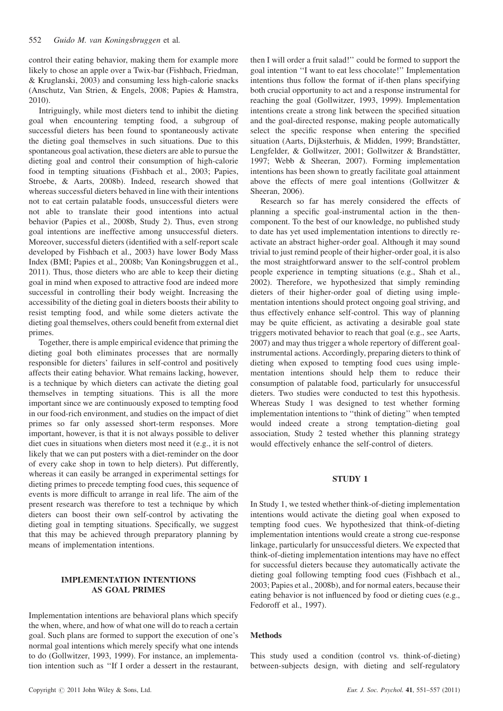control their eating behavior, making them for example more likely to chose an apple over a Twix-bar (Fishbach, Friedman, & Kruglanski, 2003) and consuming less high-calorie snacks (Anschutz, Van Strien, & Engels, 2008; Papies & Hamstra, 2010).

Intriguingly, while most dieters tend to inhibit the dieting goal when encountering tempting food, a subgroup of successful dieters has been found to spontaneously activate the dieting goal themselves in such situations. Due to this spontaneous goal activation, these dieters are able to pursue the dieting goal and control their consumption of high-calorie food in tempting situations (Fishbach et al., 2003; Papies, Stroebe, & Aarts, 2008b). Indeed, research showed that whereas successful dieters behaved in line with their intentions not to eat certain palatable foods, unsuccessful dieters were not able to translate their good intentions into actual behavior (Papies et al., 2008b, Study 2). Thus, even strong goal intentions are ineffective among unsuccessful dieters. Moreover, successful dieters (identified with a self-report scale developed by Fishbach et al., 2003) have lower Body Mass Index (BMI; Papies et al., 2008b; Van Koningsbruggen et al., 2011). Thus, those dieters who are able to keep their dieting goal in mind when exposed to attractive food are indeed more successful in controlling their body weight. Increasing the accessibility of the dieting goal in dieters boosts their ability to resist tempting food, and while some dieters activate the dieting goal themselves, others could benefit from external diet primes.

Together, there is ample empirical evidence that priming the dieting goal both eliminates processes that are normally responsible for dieters' failures in self-control and positively affects their eating behavior. What remains lacking, however, is a technique by which dieters can activate the dieting goal themselves in tempting situations. This is all the more important since we are continuously exposed to tempting food in our food-rich environment, and studies on the impact of diet primes so far only assessed short-term responses. More important, however, is that it is not always possible to deliver diet cues in situations when dieters most need it (e.g., it is not likely that we can put posters with a diet-reminder on the door of every cake shop in town to help dieters). Put differently, whereas it can easily be arranged in experimental settings for dieting primes to precede tempting food cues, this sequence of events is more difficult to arrange in real life. The aim of the present research was therefore to test a technique by which dieters can boost their own self-control by activating the dieting goal in tempting situations. Specifically, we suggest that this may be achieved through preparatory planning by means of implementation intentions.

## IMPLEMENTATION INTENTIONS AS GOAL PRIMES

Implementation intentions are behavioral plans which specify the when, where, and how of what one will do to reach a certain goal. Such plans are formed to support the execution of one's normal goal intentions which merely specify what one intends to do (Gollwitzer, 1993, 1999). For instance, an implementation intention such as ''If I order a dessert in the restaurant,

then I will order a fruit salad!'' could be formed to support the goal intention ''I want to eat less chocolate!'' Implementation intentions thus follow the format of if-then plans specifying both crucial opportunity to act and a response instrumental for reaching the goal (Gollwitzer, 1993, 1999). Implementation intentions create a strong link between the specified situation and the goal-directed response, making people automatically select the specific response when entering the specified situation (Aarts, Dijksterhuis, & Midden, 1999; Brandstätter, Lengfelder, & Gollwitzer, 2001; Gollwitzer & Brandstätter, 1997; Webb & Sheeran, 2007). Forming implementation intentions has been shown to greatly facilitate goal attainment above the effects of mere goal intentions (Gollwitzer & Sheeran, 2006).

Research so far has merely considered the effects of planning a specific goal-instrumental action in the thencomponent. To the best of our knowledge, no published study to date has yet used implementation intentions to directly reactivate an abstract higher-order goal. Although it may sound trivial to just remind people of their higher-order goal, it is also the most straightforward answer to the self-control problem people experience in tempting situations (e.g., Shah et al., 2002). Therefore, we hypothesized that simply reminding dieters of their higher-order goal of dieting using implementation intentions should protect ongoing goal striving, and thus effectively enhance self-control. This way of planning may be quite efficient, as activating a desirable goal state triggers motivated behavior to reach that goal (e.g., see Aarts, 2007) and may thus trigger a whole repertory of different goalinstrumental actions. Accordingly, preparing dieters to think of dieting when exposed to tempting food cues using implementation intentions should help them to reduce their consumption of palatable food, particularly for unsuccessful dieters. Two studies were conducted to test this hypothesis. Whereas Study 1 was designed to test whether forming implementation intentions to ''think of dieting'' when tempted would indeed create a strong temptation-dieting goal association, Study 2 tested whether this planning strategy would effectively enhance the self-control of dieters.

## STUDY 1

In Study 1, we tested whether think-of-dieting implementation intentions would activate the dieting goal when exposed to tempting food cues. We hypothesized that think-of-dieting implementation intentions would create a strong cue-response linkage, particularly for unsuccessful dieters. We expected that think-of-dieting implementation intentions may have no effect for successful dieters because they automatically activate the dieting goal following tempting food cues (Fishbach et al., 2003; Papies et al., 2008b), and for normal eaters, because their eating behavior is not influenced by food or dieting cues (e.g., Fedoroff et al., 1997).

## Methods

This study used a condition (control vs. think-of-dieting) between-subjects design, with dieting and self-regulatory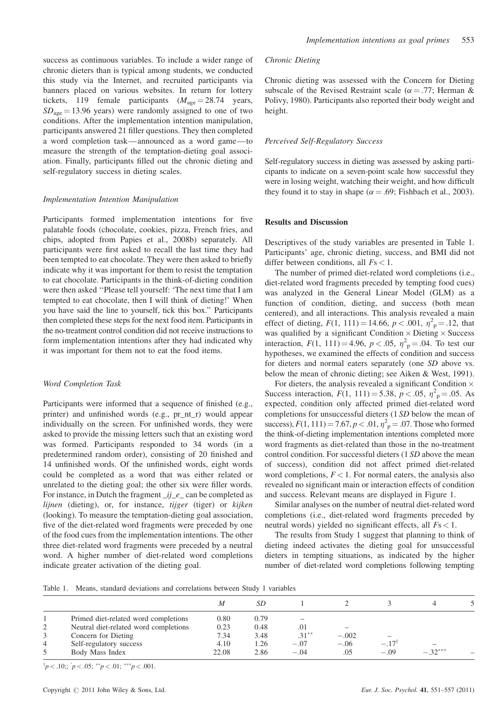success as continuous variables. To include a wider range of chronic dieters than is typical among students, we conducted this study via the Internet, and recruited participants via banners placed on various websites. In return for lottery tickets, 119 female participants  $(M<sub>ave</sub> = 28.74$  years,  $SD<sub>ave</sub> = 13.96$  years) were randomly assigned to one of two conditions. After the implementation intention manipulation, participants answered 21 filler questions. They then completed a word completion task—announced as a word game—to measure the strength of the temptation-dieting goal association. Finally, participants filled out the chronic dieting and self-regulatory success in dieting scales.

#### Implementation Intention Manipulation

Participants formed implementation intentions for five palatable foods (chocolate, cookies, pizza, French fries, and chips, adopted from Papies et al., 2008b) separately. All participants were first asked to recall the last time they had been tempted to eat chocolate. They were then asked to briefly indicate why it was important for them to resist the temptation to eat chocolate. Participants in the think-of-dieting condition were then asked ''Please tell yourself: 'The next time that I am tempted to eat chocolate, then I will think of dieting!' When you have said the line to yourself, tick this box.'' Participants then completed these steps for the next food item. Participants in the no-treatment control condition did not receive instructions to form implementation intentions after they had indicated why it was important for them not to eat the food items.

#### Word Completion Task

Participants were informed that a sequence of finished (e.g., printer) and unfinished words (e.g., pr\_nt\_r) would appear individually on the screen. For unfinished words, they were asked to provide the missing letters such that an existing word was formed. Participants responded to 34 words (in a predetermined random order), consisting of 20 finished and 14 unfinished words. Of the unfinished words, eight words could be completed as a word that was either related or unrelated to the dieting goal; the other six were filler words. For instance, in Dutch the fragment  $i\dot{j}$  e can be completed as lijnen (dieting), or, for instance, tijger (tiger) or kijken (looking). To measure the temptation-dieting goal association, five of the diet-related word fragments were preceded by one of the food cues from the implementation intentions. The other three diet-related word fragments were preceded by a neutral word. A higher number of diet-related word completions indicate greater activation of the dieting goal.

## Chronic Dieting

Chronic dieting was assessed with the Concern for Dieting subscale of the Revised Restraint scale ( $\alpha = .77$ ; Herman & Polivy, 1980). Participants also reported their body weight and height.

#### Perceived Self-Regulatory Success

Self-regulatory success in dieting was assessed by asking participants to indicate on a seven-point scale how successful they were in losing weight, watching their weight, and how difficult they found it to stay in shape ( $\alpha = .69$ ; Fishbach et al., 2003).

#### Results and Discussion

Descriptives of the study variables are presented in Table 1. Participants' age, chronic dieting, success, and BMI did not differ between conditions, all  $Fs < 1$ .

The number of primed diet-related word completions (i.e., diet-related word fragments preceded by tempting food cues) was analyzed in the General Linear Model (GLM) as a function of condition, dieting, and success (both mean centered), and all interactions. This analysis revealed a main effect of dieting,  $F(1, 111) = 14.66$ ,  $p < .001$ ,  $\eta^2 = .12$ , that was qualified by a significant Condition  $\times$  Dieting  $\times$  Success interaction,  $F(1, 111) = 4.96$ ,  $p < .05$ ,  $\eta^2 = .04$ . To test our hypotheses, we examined the effects of condition and success for dieters and normal eaters separately (one SD above vs. below the mean of chronic dieting; see Aiken & West, 1991).

For dieters, the analysis revealed a significant Condition  $\times$ Success interaction,  $F(1, 111) = 5.38, p < .05, \eta^2_p = .05$ . As expected, condition only affected primed diet-related word completions for unsuccessful dieters (1 SD below the mean of success),  $F(1, 111) = 7.67, p < .01, \eta^2$ <sub>p</sub> = .07. Those who formed the think-of-dieting implementation intentions completed more word fragments as diet-related than those in the no-treatment control condition. For successful dieters (1 SD above the mean of success), condition did not affect primed diet-related word completions,  $F < 1$ . For normal eaters, the analysis also revealed no significant main or interaction effects of condition and success. Relevant means are displayed in Figure 1.

Similar analyses on the number of neutral diet-related word completions (i.e., diet-related word fragments preceded by neutral words) yielded no significant effects, all  $Fs < 1$ .

The results from Study 1 suggest that planning to think of dieting indeed activates the dieting goal for unsuccessful dieters in tempting situations, as indicated by the higher number of diet-related word completions following tempting

Table 1. Means, standard deviations and correlations between Study 1 variables

|    |                                       | M     | SD   |          |                          |                     |           |  |
|----|---------------------------------------|-------|------|----------|--------------------------|---------------------|-----------|--|
|    | Primed diet-related word completions  | 0.80  | 0.79 |          |                          |                     |           |  |
| 2  | Neutral diet-related word completions | 0.23  | 0.48 |          | $\overline{\phantom{0}}$ |                     |           |  |
| 3  | Concern for Dieting                   | 7.34  | 3.48 | $.31***$ | $-.002$                  |                     |           |  |
| 4  | Self-regulatory success               | 4.10  | 1.26 | $-.07$   | $-.06$                   | $-.17$ <sup>T</sup> |           |  |
| .5 | Body Mass Index                       | 22.08 | 2.86 | $-.04$   | .05                      | $-.09$              | $-.32***$ |  |
|    |                                       |       |      |          |                          |                     |           |  |

 $\forall p < .10;$ ;  $\gamma p < .05;$   $\forall p < .01;$   $\forall \forall p < .001.$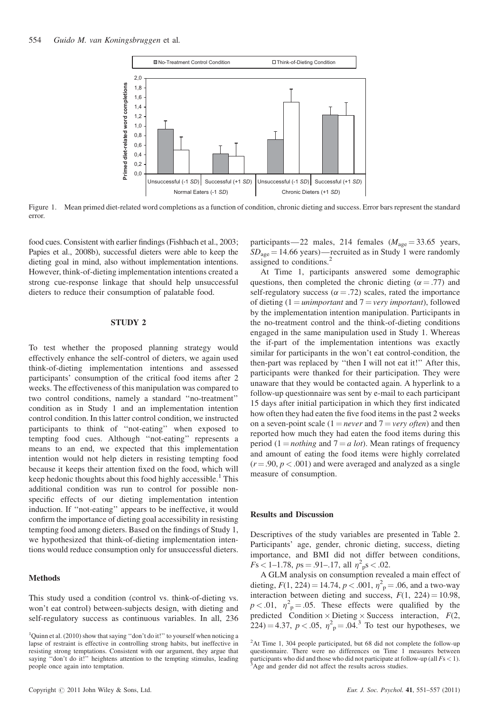

Figure 1. Mean primed diet-related word completions as a function of condition, chronic dieting and success. Error bars represent the standard error.

food cues. Consistent with earlier findings (Fishbach et al., 2003; Papies et al., 2008b), successful dieters were able to keep the dieting goal in mind, also without implementation intentions. However, think-of-dieting implementation intentions created a strong cue-response linkage that should help unsuccessful dieters to reduce their consumption of palatable food.

## STUDY 2

To test whether the proposed planning strategy would effectively enhance the self-control of dieters, we again used think-of-dieting implementation intentions and assessed participants' consumption of the critical food items after 2 weeks. The effectiveness of this manipulation was compared to two control conditions, namely a standard ''no-treatment'' condition as in Study 1 and an implementation intention control condition. In this latter control condition, we instructed participants to think of ''not-eating'' when exposed to tempting food cues. Although ''not-eating'' represents a means to an end, we expected that this implementation intention would not help dieters in resisting tempting food because it keeps their attention fixed on the food, which will keep hedonic thoughts about this food highly accessible.<sup>1</sup> This additional condition was run to control for possible nonspecific effects of our dieting implementation intention induction. If ''not-eating'' appears to be ineffective, it would confirm the importance of dieting goal accessibility in resisting tempting food among dieters. Based on the findings of Study 1, we hypothesized that think-of-dieting implementation intentions would reduce consumption only for unsuccessful dieters.

#### Methods

This study used a condition (control vs. think-of-dieting vs. won't eat control) between-subjects design, with dieting and self-regulatory success as continuous variables. In all, 236 participants—22 males, 214 females ( $M_{\text{age}} = 33.65$  years,  $SD<sub>age</sub> = 14.66$  years)—recruited as in Study 1 were randomly assigned to conditions.<sup>2</sup>

At Time 1, participants answered some demographic questions, then completed the chronic dieting ( $\alpha = .77$ ) and self-regulatory success ( $\alpha = .72$ ) scales, rated the importance of dieting  $(1 =$ unimportant and  $7 =$ very important), followed by the implementation intention manipulation. Participants in the no-treatment control and the think-of-dieting conditions engaged in the same manipulation used in Study 1. Whereas the if-part of the implementation intentions was exactly similar for participants in the won't eat control-condition, the then-part was replaced by ''then I will not eat it!'' After this, participants were thanked for their participation. They were unaware that they would be contacted again. A hyperlink to a follow-up questionnaire was sent by e-mail to each participant 15 days after initial participation in which they first indicated how often they had eaten the five food items in the past 2 weeks on a seven-point scale (1 = *never* and  $7 = \text{very often}$ ) and then reported how much they had eaten the food items during this period (1 = *nothing* and 7 = *a lot*). Mean ratings of frequency and amount of eating the food items were highly correlated  $(r = .90, p < .001)$  and were averaged and analyzed as a single measure of consumption.

## Results and Discussion

Descriptives of the study variables are presented in Table 2. Participants' age, gender, chronic dieting, success, dieting importance, and BMI did not differ between conditions,  $Fs < 1-1.78$ ,  $ps = .91-.17$ , all  $\eta_{\text{p}}^2 s < .02$ .

A GLM analysis on consumption revealed a main effect of dieting,  $F(1, 224) = 14.74$ ,  $p < .001$ ,  $\eta^2$ <sub>p</sub> = .06, and a two-way interaction between dieting and success,  $F(1, 224) = 10.98$ ,  $p < .01$ ,  $\eta^2$ <sub>p</sub> = .05. These effects were qualified by the predicted Condition  $\times$  Dieting  $\times$  Success interaction,  $F(2, \cdot)$  $(224) = 4.37, p < .05, \eta^2 = .04$ <sup>3</sup> To test our hypotheses, we

<sup>&</sup>lt;sup>1</sup>Quinn et al. (2010) show that saying "don't do it!" to yourself when noticing a lapse of restraint is effective in controlling strong habits, but ineffective in resisting strong temptations. Consistent with our argument, they argue that saying "don't do it!" heightens attention to the tempting stimulus, leading people once again into temptation.

<sup>&</sup>lt;sup>2</sup>At Time 1, 304 people participated, but 68 did not complete the follow-up questionnaire. There were no differences on Time 1 measures between participants who did and those who did not participate at follow-up (all  $Fs < 1$ ). Age and gender did not affect the results across studies.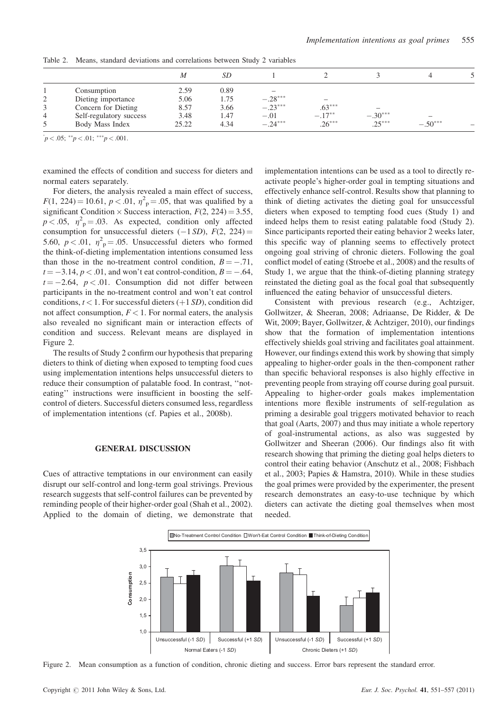|   |                         | M     | SD   |           |                          |                          |           |  |
|---|-------------------------|-------|------|-----------|--------------------------|--------------------------|-----------|--|
|   | Consumption             | 2.59  | 0.89 |           |                          |                          |           |  |
| ∠ | Dieting importance      | 5.06  | 1.75 | $-.28***$ | $\overline{\phantom{0}}$ |                          |           |  |
| 3 | Concern for Dieting     | 8.57  | 3.66 | $-.23***$ | $.63***$                 | $\overline{\phantom{0}}$ |           |  |
| 4 | Self-regulatory success | 3.48  | . 47 | $-.01$    | $-.17***$                | $-.30***$                |           |  |
| 5 | Body Mass Index         | 25.22 | 4.34 | $-.24***$ | $.26***$                 | $.25***$                 | $-.50***$ |  |

Table 2. Means, standard deviations and correlations between Study 2 variables

 $p < .05;$  \*\* $p < .01;$  \*\*\* $p < .001$ .

examined the effects of condition and success for dieters and normal eaters separately.

For dieters, the analysis revealed a main effect of success,  $F(1, 224) = 10.61, p < 0.01, \eta^2 = 0.05$ , that was qualified by a significant Condition  $\times$  Success interaction,  $F(2, 224) = 3.55$ ,  $p < .05$ ,  $\eta^2$ <sub>p</sub> = .03. As expected, condition only affected consumption for unsuccessful dieters  $(-1 SD)$ ,  $F(2, 224) =$ 5.60,  $p < .01$ ,  $\eta^2$ <sub>p</sub> = .05. Unsuccessful dieters who formed the think-of-dieting implementation intentions consumed less than those in the no-treatment control condition,  $B = -.71$ ,  $t = -3.14$ ,  $p < .01$ , and won't eat control-condition,  $B = -.64$ ,  $t = -2.64$ ,  $p < .01$ . Consumption did not differ between participants in the no-treatment control and won't eat control conditions,  $t < 1$ . For successful dieters  $(+1 SD)$ , condition did not affect consumption,  $F < 1$ . For normal eaters, the analysis also revealed no significant main or interaction effects of condition and success. Relevant means are displayed in Figure 2.

The results of Study 2 confirm our hypothesis that preparing dieters to think of dieting when exposed to tempting food cues using implementation intentions helps unsuccessful dieters to reduce their consumption of palatable food. In contrast, ''noteating'' instructions were insufficient in boosting the selfcontrol of dieters. Successful dieters consumed less, regardless of implementation intentions (cf. Papies et al., 2008b).

### GENERAL DISCUSSION

Cues of attractive temptations in our environment can easily disrupt our self-control and long-term goal strivings. Previous research suggests that self-control failures can be prevented by reminding people of their higher-order goal (Shah et al., 2002). Applied to the domain of dieting, we demonstrate that implementation intentions can be used as a tool to directly reactivate people's higher-order goal in tempting situations and effectively enhance self-control. Results show that planning to think of dieting activates the dieting goal for unsuccessful dieters when exposed to tempting food cues (Study 1) and indeed helps them to resist eating palatable food (Study 2). Since participants reported their eating behavior 2 weeks later, this specific way of planning seems to effectively protect ongoing goal striving of chronic dieters. Following the goal conflict model of eating (Stroebe et al., 2008) and the results of Study 1, we argue that the think-of-dieting planning strategy reinstated the dieting goal as the focal goal that subsequently influenced the eating behavior of unsuccessful dieters.

Consistent with previous research (e.g., Achtziger, Gollwitzer, & Sheeran, 2008; Adriaanse, De Ridder, & De Wit, 2009; Bayer, Gollwitzer, & Achtziger, 2010), our findings show that the formation of implementation intentions effectively shields goal striving and facilitates goal attainment. However, our findings extend this work by showing that simply appealing to higher-order goals in the then-component rather than specific behavioral responses is also highly effective in preventing people from straying off course during goal pursuit. Appealing to higher-order goals makes implementation intentions more flexible instruments of self-regulation as priming a desirable goal triggers motivated behavior to reach that goal (Aarts, 2007) and thus may initiate a whole repertory of goal-instrumental actions, as also was suggested by Gollwitzer and Sheeran (2006). Our findings also fit with research showing that priming the dieting goal helps dieters to control their eating behavior (Anschutz et al., 2008; Fishbach et al., 2003; Papies & Hamstra, 2010). While in these studies the goal primes were provided by the experimenter, the present research demonstrates an easy-to-use technique by which dieters can activate the dieting goal themselves when most needed.



Figure 2. Mean consumption as a function of condition, chronic dieting and success. Error bars represent the standard error.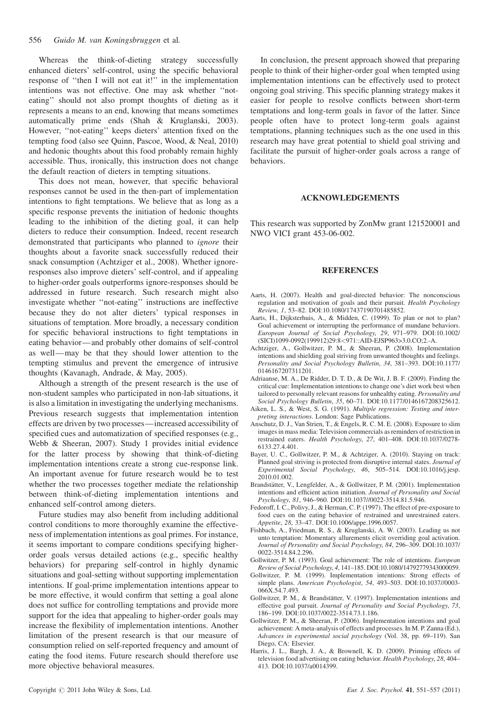Whereas the think-of-dieting strategy successfully enhanced dieters' self-control, using the specific behavioral response of ''then I will not eat it!'' in the implementation intentions was not effective. One may ask whether ''noteating'' should not also prompt thoughts of dieting as it represents a means to an end, knowing that means sometimes automatically prime ends (Shah & Kruglanski, 2003). However, ''not-eating'' keeps dieters' attention fixed on the tempting food (also see Quinn, Pascoe, Wood, & Neal, 2010) and hedonic thoughts about this food probably remain highly accessible. Thus, ironically, this instruction does not change the default reaction of dieters in tempting situations.

This does not mean, however, that specific behavioral responses cannot be used in the then-part of implementation intentions to fight temptations. We believe that as long as a specific response prevents the initiation of hedonic thoughts leading to the inhibition of the dieting goal, it can help dieters to reduce their consumption. Indeed, recent research demonstrated that participants who planned to ignore their thoughts about a favorite snack successfully reduced their snack consumption (Achtziger et al., 2008). Whether ignoreresponses also improve dieters' self-control, and if appealing to higher-order goals outperforms ignore-responses should be addressed in future research. Such research might also investigate whether ''not-eating'' instructions are ineffective because they do not alter dieters' typical responses in situations of temptation. More broadly, a necessary condition for specific behavioral instructions to fight temptations in eating behavior—and probably other domains of self-control as well—may be that they should lower attention to the tempting stimulus and prevent the emergence of intrusive thoughts (Kavanagh, Andrade, & May, 2005).

Although a strength of the present research is the use of non-student samples who participated in non-lab situations, it is also a limitation in investigating the underlying mechanisms. Previous research suggests that implementation intention effects are driven by two processes—increased accessibility of specified cues and automatization of specified responses (e.g., Webb & Sheeran, 2007). Study 1 provides initial evidence for the latter process by showing that think-of-dieting implementation intentions create a strong cue-response link. An important avenue for future research would be to test whether the two processes together mediate the relationship between think-of-dieting implementation intentions and enhanced self-control among dieters.

Future studies may also benefit from including additional control conditions to more thoroughly examine the effectiveness of implementation intentions as goal primes. For instance, it seems important to compare conditions specifying higherorder goals versus detailed actions (e.g., specific healthy behaviors) for preparing self-control in highly dynamic situations and goal-setting without supporting implementation intentions. If goal-prime implementation intentions appear to be more effective, it would confirm that setting a goal alone does not suffice for controlling temptations and provide more support for the idea that appealing to higher-order goals may increase the flexibility of implementation intentions. Another limitation of the present research is that our measure of consumption relied on self-reported frequency and amount of eating the food items. Future research should therefore use more objective behavioral measures.

In conclusion, the present approach showed that preparing people to think of their higher-order goal when tempted using implementation intentions can be effectively used to protect ongoing goal striving. This specific planning strategy makes it easier for people to resolve conflicts between short-term temptations and long-term goals in favor of the latter. Since people often have to protect long-term goals against temptations, planning techniques such as the one used in this research may have great potential to shield goal striving and facilitate the pursuit of higher-order goals across a range of behaviors.

#### ACKNOWLEDGEMENTS

This research was supported by ZonMw grant 121520001 and NWO VICI grant 453-06-002.

#### **REFERENCES**

- Aarts, H. (2007). Health and goal-directed behavior: The nonconscious regulation and motivation of goals and their pursuit. Health Psychology Review, 1, 53–82. DOI:10.1080/17437190701485852.
- Aarts, H., Dijksterhuis, A., & Midden, C. (1999). To plan or not to plan? Goal achievement or interrupting the performance of mundane behaviors. European Journal of Social Psychology, 29, 971–979. DOI:10.1002/ (SICI)1099-0992(199912)29:8<971::AID-EJSP963>3.0.CO;2.-A.
- Achtziger, A., Gollwitzer, P. M., & Sheeran, P. (2008). Implementation intentions and shielding goal striving from unwanted thoughts and feelings. Personality and Social Psychology Bulletin, 34, 381–393. DOI:10.1177/ 0146167207311201.
- Adriaanse, M. A., De Ridder, D. T. D., & De Wit, J. B. F. (2009). Finding the critical cue: Implementation intentions to change one's diet work best when tailored to personally relevant reasons for unhealthy eating. Personality and Social Psychology Bulletin, 35, 60-71. DOI:10.1177/0146167208325612.
- Aiken, L. S., & West, S. G. (1991). Multiple regression: Testing and interpreting interactions. London: Sage Publications.
- Anschutz, D. J., Van Strien, T., & Engels, R. C. M. E. (2008). Exposure to slim images in mass media: Television commercials as reminders of restriction in restrained eaters. Health Psychology, 27, 401–408. DOI:10.1037/0278- 6133.27.4.401.
- Bayer, U. C., Gollwitzer, P. M., & Achtziger, A. (2010). Staying on track: Planned goal striving is protected from disruptive internal states. Journal of Experimental Social Psychology, 46, 505–514. DOI:10.1016/j.jesp. 2010.01.002.
- Brandstätter, V., Lengfelder, A., & Gollwitzer, P. M. (2001). Implementation intentions and efficient action initiation. Journal of Personality and Social Psychology, 81, 946–960. DOI:10.1037//0022-3514.81.5.946.
- Fedoroff, I. C., Polivy, J., & Herman, C. P. (1997). The effect of pre-exposure to food cues on the eating behavior of restrained and unrestrained eaters. Appetite, 28, 33–47. DOI:10.1006/appe.1996.0057.
- Fishbach, A., Friedman, R. S., & Kruglanski, A. W. (2003). Leading us not unto temptation: Momentary allurements elicit overriding goal activation. Journal of Personality and Social Psychology, 84, 296–309. DOI:10.1037/ 0022-3514.84.2.296.
- Gollwitzer, P. M. (1993). Goal achievement: The role of intentions. European Review of Social Psychology, 4, 141-185. DOI:10.1080/14792779343000059.
- Gollwitzer, P. M. (1999). Implementation intentions: Strong effects of simple plans. American Psychologist, 54, 493–503. DOI:10.1037//0003- 066X.54.7.493.
- Gollwitzer, P. M., & Brandstätter, V. (1997). Implementation intentions and effective goal pursuit. Journal of Personality and Social Psychology, 73, 186–199. DOI:10.1037/0022-3514.73.1.186.
- Gollwitzer, P. M., & Sheeran, P. (2006). Implementation intentions and goal achievement: A meta-analysis of effects and processes. In M. P. Zanna (Ed.), Advances in experimental social psychology (Vol. 38, pp. 69–119). San Diego, CA: Elsevier.
- Harris, J. L., Bargh, J. A., & Brownell, K. D. (2009). Priming effects of television food advertising on eating behavior. Health Psychology, 28, 404– 413. DOI:10.1037/a0014399.